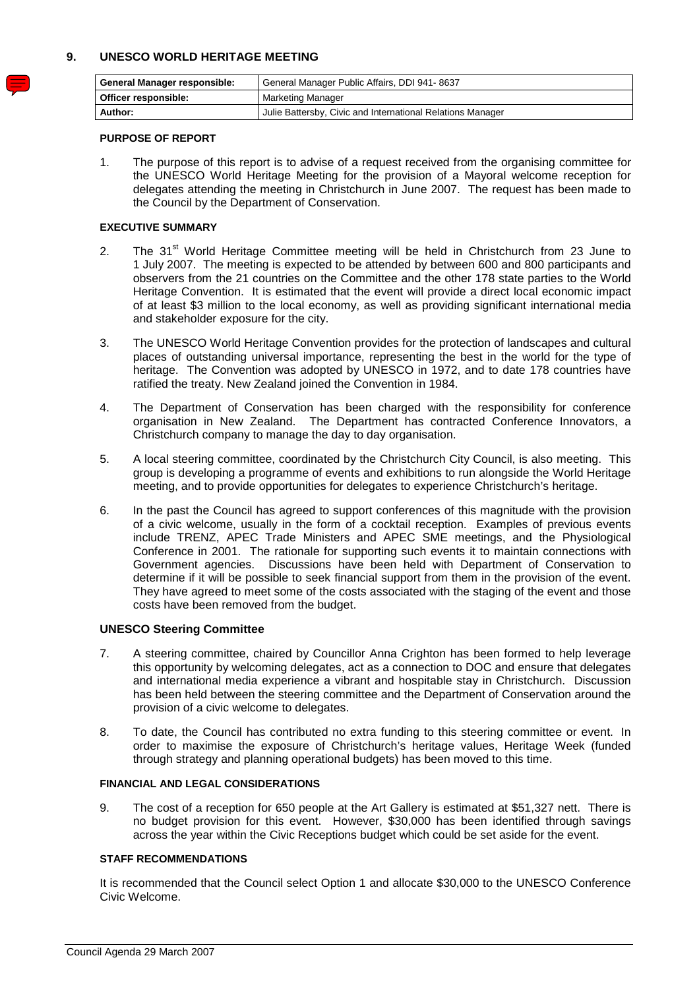## **9. UNESCO WORLD HERITAGE MEETING**

| <b>General Manager responsible:</b> | General Manager Public Affairs, DDI 941-8637               |
|-------------------------------------|------------------------------------------------------------|
| Officer responsible:                | Marketing Manager                                          |
| Author:                             | Julie Battersby, Civic and International Relations Manager |

#### **PURPOSE OF REPORT**

 1. The purpose of this report is to advise of a request received from the organising committee for the UNESCO World Heritage Meeting for the provision of a Mayoral welcome reception for delegates attending the meeting in Christchurch in June 2007. The request has been made to the Council by the Department of Conservation.

#### **EXECUTIVE SUMMARY**

- 2. The 31<sup>st</sup> World Heritage Committee meeting will be held in Christchurch from 23 June to 1 July 2007. The meeting is expected to be attended by between 600 and 800 participants and observers from the 21 countries on the Committee and the other 178 state parties to the World Heritage Convention. It is estimated that the event will provide a direct local economic impact of at least \$3 million to the local economy, as well as providing significant international media and stakeholder exposure for the city.
- 3. The UNESCO World Heritage Convention provides for the protection of landscapes and cultural places of outstanding universal importance, representing the best in the world for the type of heritage. The Convention was adopted by UNESCO in 1972, and to date 178 countries have ratified the treaty. New Zealand joined the Convention in 1984.
- 4. The Department of Conservation has been charged with the responsibility for conference organisation in New Zealand. The Department has contracted Conference Innovators, a Christchurch company to manage the day to day organisation.
- 5. A local steering committee, coordinated by the Christchurch City Council, is also meeting. This group is developing a programme of events and exhibitions to run alongside the World Heritage meeting, and to provide opportunities for delegates to experience Christchurch's heritage.
- 6. In the past the Council has agreed to support conferences of this magnitude with the provision of a civic welcome, usually in the form of a cocktail reception. Examples of previous events include TRENZ, APEC Trade Ministers and APEC SME meetings, and the Physiological Conference in 2001. The rationale for supporting such events it to maintain connections with Government agencies. Discussions have been held with Department of Conservation to determine if it will be possible to seek financial support from them in the provision of the event. They have agreed to meet some of the costs associated with the staging of the event and those costs have been removed from the budget.

#### **UNESCO Steering Committee**

- 7. A steering committee, chaired by Councillor Anna Crighton has been formed to help leverage this opportunity by welcoming delegates, act as a connection to DOC and ensure that delegates and international media experience a vibrant and hospitable stay in Christchurch. Discussion has been held between the steering committee and the Department of Conservation around the provision of a civic welcome to delegates.
- 8. To date, the Council has contributed no extra funding to this steering committee or event. In order to maximise the exposure of Christchurch's heritage values, Heritage Week (funded through strategy and planning operational budgets) has been moved to this time.

### **FINANCIAL AND LEGAL CONSIDERATIONS**

 9. The cost of a reception for 650 people at the Art Gallery is estimated at \$51,327 nett. There is no budget provision for this event. However, \$30,000 has been identified through savings across the year within the Civic Receptions budget which could be set aside for the event.

#### **STAFF RECOMMENDATIONS**

 It is recommended that the Council select Option 1 and allocate \$30,000 to the UNESCO Conference Civic Welcome.